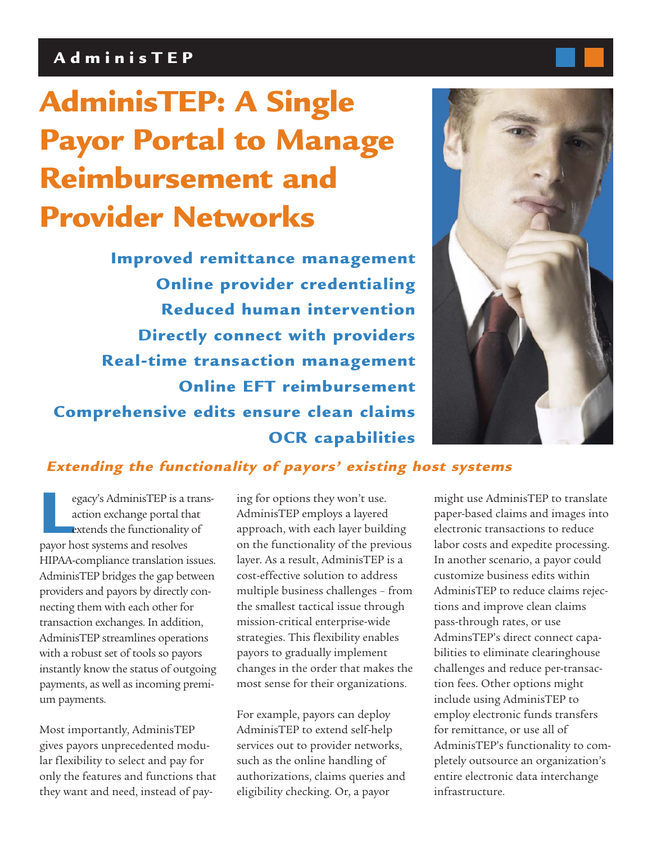## **AdminisTEP**

# **AdminisTEP: A Single Payor Portal to Manage Reimbursement and Provider Networks**

**Improved remittance management Online provider credentialing Reduced human intervention Directly connect with providers Real-time transaction management Online EFT reimbursement Comprehensive edits ensure clean claims OCR capabilities**



## **Extending the functionality of payors' existing host systems**

egacy's AdminisTEP is a trans-<br>action exchange portal that<br>extends the functionality of<br>payor host systems and resolves action exchange portal that extends the functionality of HIPAA-compliance translation issues. AdminisTEP bridges the gap between providers and payors by directly connecting them with each other for transaction exchanges. In addition, AdminisTEP streamlines operations with a robust set of tools so payors instantly know the status of outgoing payments, as well as incoming premium payments.

Most importantly, AdminisTEP gives payors unprecedented modular flexibility to select and pay for only the features and functions that they want and need, instead of paying for options they won't use. AdminisTEP employs a layered approach, with each layer building on the functionality of the previous layer. As a result, AdminisTEP is a cost-effective solution to address multiple business challenges – from the smallest tactical issue through mission-critical enterprise-wide strategies. This flexibility enables payors to gradually implement changes in the order that makes the most sense for their organizations.

For example, payors can deploy AdminisTEP to extend self-help services out to provider networks, such as the online handling of authorizations, claims queries and eligibility checking. Or, a payor

might use AdminisTEP to translate paper-based claims and images into electronic transactions to reduce labor costs and expedite processing. In another scenario, a payor could customize business edits within AdminisTEP to reduce claims rejections and improve clean claims pass-through rates, or use AdminsTEP's direct connect capabilities to eliminate clearinghouse challenges and reduce per-transaction fees. Other options might include using AdminisTEP to employ electronic funds transfers for remittance, or use all of AdminisTEP's functionality to completely outsource an organization's entire electronic data interchange infrastructure.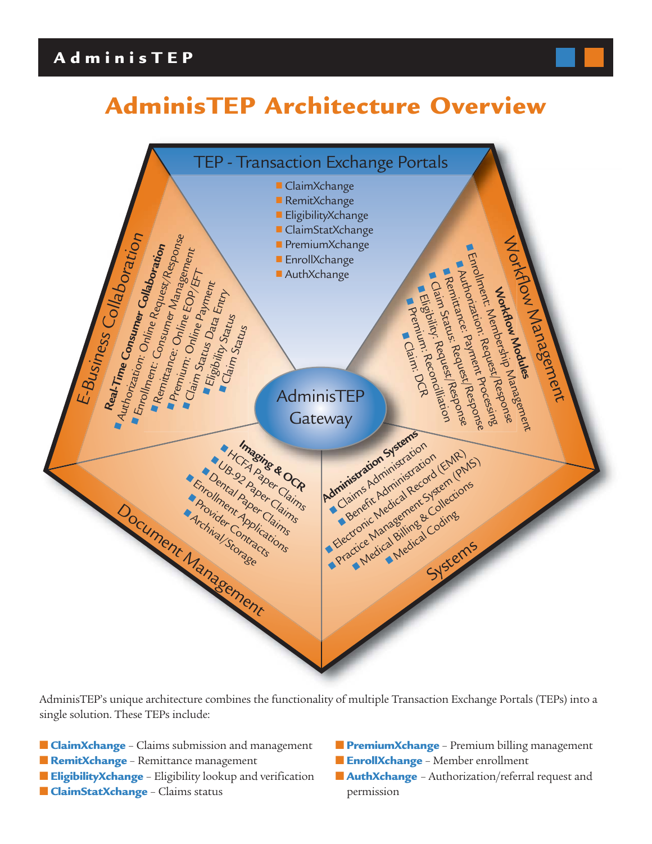## **AdminisTEP**

## **AdminisTEP Architecture Overview**



AdminisTEP's unique architecture combines the functionality of multiple Transaction Exchange Portals (TEPs) into a single solution. These TEPs include:

- **ClaimXchange** Claims submission and management
- **RemitXchange** Remittance management
- **EligibilityXchange** Eligibility lookup and verification
- **ClaimStatXchange** Claims status
- **PremiumXchange** Premium billing management
- **EnrollXchange** Member enrollment
- **AuthXchange** Authorization/referral request and permission